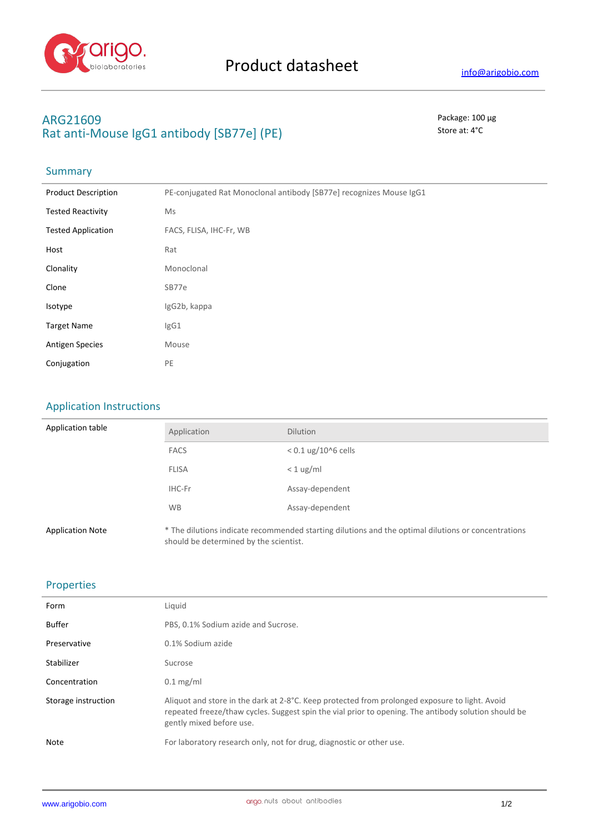

## **ARG21609** Package: 100 μg Rat anti-Mouse IgG1 antibody [SB77e] (PE) Store at: 4°C

## Summary

| <b>Product Description</b> | PE-conjugated Rat Monoclonal antibody [SB77e] recognizes Mouse IgG1 |
|----------------------------|---------------------------------------------------------------------|
| <b>Tested Reactivity</b>   | Ms                                                                  |
| <b>Tested Application</b>  | FACS, FLISA, IHC-Fr, WB                                             |
| Host                       | Rat                                                                 |
| Clonality                  | Monoclonal                                                          |
| Clone                      | SB77e                                                               |
| Isotype                    | IgG2b, kappa                                                        |
| <b>Target Name</b>         | IgG1                                                                |
| <b>Antigen Species</b>     | Mouse                                                               |
| Conjugation                | PE                                                                  |

## Application Instructions

| Application table       | Application                            | <b>Dilution</b>                                                                                     |
|-------------------------|----------------------------------------|-----------------------------------------------------------------------------------------------------|
|                         | <b>FACS</b>                            | $< 0.1$ ug/10^6 cells                                                                               |
|                         | <b>FLISA</b>                           | $< 1$ ug/ml                                                                                         |
|                         | IHC-Fr                                 | Assay-dependent                                                                                     |
|                         | <b>WB</b>                              | Assay-dependent                                                                                     |
| <b>Application Note</b> | should be determined by the scientist. | * The dilutions indicate recommended starting dilutions and the optimal dilutions or concentrations |

#### Properties

| Form                | Liquid                                                                                                                                                                                                                             |
|---------------------|------------------------------------------------------------------------------------------------------------------------------------------------------------------------------------------------------------------------------------|
| <b>Buffer</b>       | PBS, 0.1% Sodium azide and Sucrose.                                                                                                                                                                                                |
| Preservative        | 0.1% Sodium azide                                                                                                                                                                                                                  |
| Stabilizer          | Sucrose                                                                                                                                                                                                                            |
| Concentration       | $0.1$ mg/ml                                                                                                                                                                                                                        |
| Storage instruction | Aliquot and store in the dark at 2-8°C. Keep protected from prolonged exposure to light. Avoid<br>repeated freeze/thaw cycles. Suggest spin the vial prior to opening. The antibody solution should be<br>gently mixed before use. |
| Note                | For laboratory research only, not for drug, diagnostic or other use.                                                                                                                                                               |